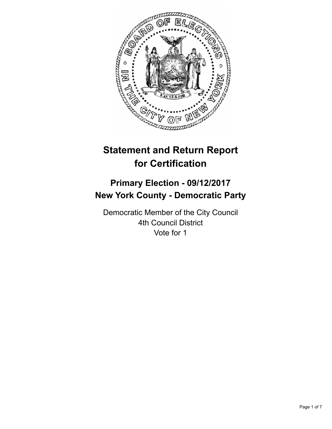

# **Statement and Return Report for Certification**

# **Primary Election - 09/12/2017 New York County - Democratic Party**

Democratic Member of the City Council 4th Council District Vote for 1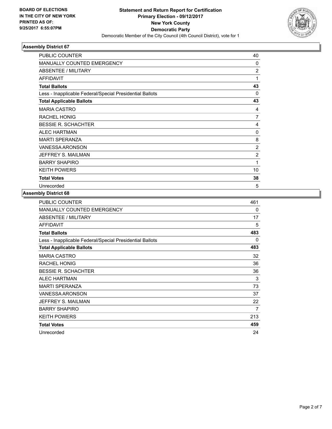

| <b>PUBLIC COUNTER</b>                                    | 40             |
|----------------------------------------------------------|----------------|
| <b>MANUALLY COUNTED EMERGENCY</b>                        | 0              |
| ABSENTEE / MILITARY                                      | $\overline{2}$ |
| <b>AFFIDAVIT</b>                                         | 1              |
| <b>Total Ballots</b>                                     | 43             |
| Less - Inapplicable Federal/Special Presidential Ballots | $\Omega$       |
| <b>Total Applicable Ballots</b>                          | 43             |
| <b>MARIA CASTRO</b>                                      | 4              |
| <b>RACHEL HONIG</b>                                      | 7              |
| <b>BESSIE R. SCHACHTER</b>                               | 4              |
| <b>ALEC HARTMAN</b>                                      | $\Omega$       |
| <b>MARTI SPERANZA</b>                                    | 8              |
| <b>VANESSA ARONSON</b>                                   | $\overline{2}$ |
| JEFFREY S. MAILMAN                                       | $\overline{2}$ |
| <b>BARRY SHAPIRO</b>                                     | 1              |
| <b>KEITH POWERS</b>                                      | 10             |
| <b>Total Votes</b>                                       | 38             |
| Unrecorded                                               | 5              |

| <b>PUBLIC COUNTER</b>                                    | 461 |
|----------------------------------------------------------|-----|
| <b>MANUALLY COUNTED EMERGENCY</b>                        | 0   |
| ABSENTEE / MILITARY                                      | 17  |
| <b>AFFIDAVIT</b>                                         | 5   |
| <b>Total Ballots</b>                                     | 483 |
| Less - Inapplicable Federal/Special Presidential Ballots | 0   |
| <b>Total Applicable Ballots</b>                          | 483 |
| <b>MARIA CASTRO</b>                                      | 32  |
| <b>RACHEL HONIG</b>                                      | 36  |
| <b>BESSIE R. SCHACHTER</b>                               | 36  |
| <b>ALEC HARTMAN</b>                                      | 3   |
| <b>MARTI SPERANZA</b>                                    | 73  |
| <b>VANESSA ARONSON</b>                                   | 37  |
| JEFFREY S. MAILMAN                                       | 22  |
| <b>BARRY SHAPIRO</b>                                     | 7   |
| <b>KEITH POWERS</b>                                      | 213 |
| <b>Total Votes</b>                                       | 459 |
| Unrecorded                                               | 24  |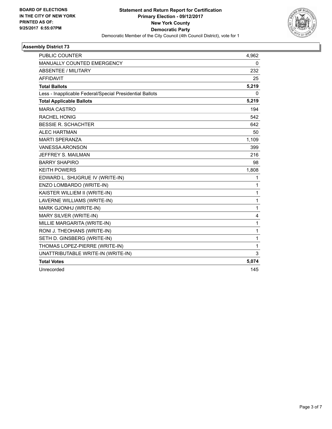

| <b>PUBLIC COUNTER</b>                                    | 4,962 |
|----------------------------------------------------------|-------|
| <b>MANUALLY COUNTED EMERGENCY</b>                        | 0     |
| <b>ABSENTEE / MILITARY</b>                               | 232   |
| <b>AFFIDAVIT</b>                                         | 25    |
| <b>Total Ballots</b>                                     | 5,219 |
| Less - Inapplicable Federal/Special Presidential Ballots | 0     |
| <b>Total Applicable Ballots</b>                          | 5,219 |
| <b>MARIA CASTRO</b>                                      | 194   |
| <b>RACHEL HONIG</b>                                      | 542   |
| <b>BESSIE R. SCHACHTER</b>                               | 642   |
| <b>ALEC HARTMAN</b>                                      | 50    |
| <b>MARTI SPERANZA</b>                                    | 1,109 |
| <b>VANESSA ARONSON</b>                                   | 399   |
| JEFFREY S. MAILMAN                                       | 216   |
| <b>BARRY SHAPIRO</b>                                     | 98    |
| <b>KEITH POWERS</b>                                      | 1,808 |
| EDWARD L. SHUGRUE IV (WRITE-IN)                          | 1     |
| ENZO LOMBARDO (WRITE-IN)                                 | 1     |
| KAISTER WILLIEM II (WRITE-IN)                            | 1     |
| LAVERNE WILLIAMS (WRITE-IN)                              | 1     |
| MARK GJONHJ (WRITE-IN)                                   | 1     |
| MARY SILVER (WRITE-IN)                                   | 4     |
| MILLIE MARGARITA (WRITE-IN)                              | 1     |
| RONI J. THEOHANS (WRITE-IN)                              | 1     |
| SETH D. GINSBERG (WRITE-IN)                              | 1     |
| THOMAS LOPEZ-PIERRE (WRITE-IN)                           | 1     |
| UNATTRIBUTABLE WRITE-IN (WRITE-IN)                       | 3     |
| <b>Total Votes</b>                                       | 5,074 |
| Unrecorded                                               | 145   |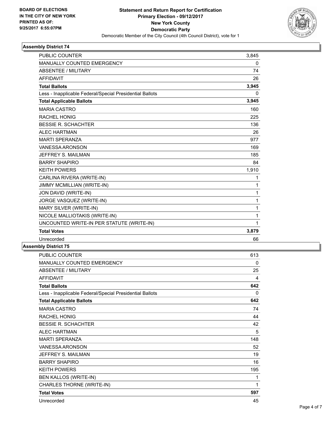

| <b>PUBLIC COUNTER</b>                                    | 3,845    |
|----------------------------------------------------------|----------|
| <b>MANUALLY COUNTED EMERGENCY</b>                        | 0        |
| <b>ABSENTEE / MILITARY</b>                               | 74       |
| <b>AFFIDAVIT</b>                                         | 26       |
| <b>Total Ballots</b>                                     | 3,945    |
| Less - Inapplicable Federal/Special Presidential Ballots | $\Omega$ |
| <b>Total Applicable Ballots</b>                          | 3,945    |
| <b>MARIA CASTRO</b>                                      | 160      |
| <b>RACHEL HONIG</b>                                      | 225      |
| <b>BESSIE R. SCHACHTER</b>                               | 136      |
| <b>ALEC HARTMAN</b>                                      | 26       |
| <b>MARTI SPERANZA</b>                                    | 977      |
| VANESSA ARONSON                                          | 169      |
| JEFFREY S. MAILMAN                                       | 185      |
| <b>BARRY SHAPIRO</b>                                     | 84       |
| <b>KEITH POWERS</b>                                      | 1,910    |
| CARLINA RIVERA (WRITE-IN)                                | 1        |
| JIMMY MCMILLIAN (WRITE-IN)                               | 1        |
| JON DAVID (WRITE-IN)                                     | 1        |
| JORGE VASQUEZ (WRITE-IN)                                 | 1        |
| MARY SILVER (WRITE-IN)                                   | 1        |
| NICOLE MALLIOTAKIS (WRITE-IN)                            | 1        |
| UNCOUNTED WRITE-IN PER STATUTE (WRITE-IN)                | 1        |
| <b>Total Votes</b>                                       | 3,879    |
| Unrecorded                                               | 66       |

| PUBLIC COUNTER                                           | 613 |
|----------------------------------------------------------|-----|
| MANUALLY COUNTED EMERGENCY                               | 0   |
| ABSENTEE / MILITARY                                      | 25  |
| <b>AFFIDAVIT</b>                                         | 4   |
| <b>Total Ballots</b>                                     | 642 |
| Less - Inapplicable Federal/Special Presidential Ballots | 0   |
| <b>Total Applicable Ballots</b>                          | 642 |
| <b>MARIA CASTRO</b>                                      | 74  |
| <b>RACHEL HONIG</b>                                      | 44  |
| <b>BESSIE R. SCHACHTER</b>                               | 42  |
| <b>ALEC HARTMAN</b>                                      | 5   |
| <b>MARTI SPERANZA</b>                                    | 148 |
| <b>VANESSA ARONSON</b>                                   | 52  |
| JEFFREY S. MAILMAN                                       | 19  |
| <b>BARRY SHAPIRO</b>                                     | 16  |
| <b>KEITH POWERS</b>                                      | 195 |
| <b>BEN KALLOS (WRITE-IN)</b>                             | 1   |
| CHARLES THORNE (WRITE-IN)                                | 1   |
| <b>Total Votes</b>                                       | 597 |
| Unrecorded                                               | 45  |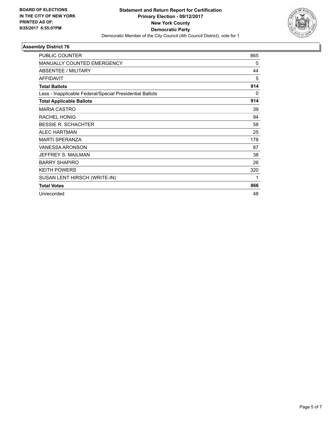

| <b>PUBLIC COUNTER</b>                                    | 865 |
|----------------------------------------------------------|-----|
| <b>MANUALLY COUNTED EMERGENCY</b>                        | 0   |
| ABSENTEE / MILITARY                                      | 44  |
| <b>AFFIDAVIT</b>                                         | 5   |
| <b>Total Ballots</b>                                     | 914 |
| Less - Inapplicable Federal/Special Presidential Ballots | 0   |
| <b>Total Applicable Ballots</b>                          | 914 |
| <b>MARIA CASTRO</b>                                      | 39  |
| <b>RACHEL HONIG</b>                                      | 94  |
| <b>BESSIE R. SCHACHTER</b>                               | 58  |
| <b>ALEC HARTMAN</b>                                      | 25  |
| <b>MARTI SPERANZA</b>                                    | 178 |
| <b>VANESSA ARONSON</b>                                   | 87  |
| JEFFREY S. MAILMAN                                       | 38  |
| <b>BARRY SHAPIRO</b>                                     | 26  |
| <b>KEITH POWERS</b>                                      | 320 |
| SUSAN LENT HIRSCH (WRITE-IN)                             | 1   |
| <b>Total Votes</b>                                       | 866 |
| Unrecorded                                               | 48  |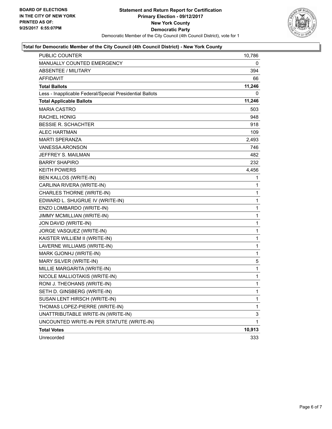

#### **Total for Democratic Member of the City Council (4th Council District) - New York County**

| <b>PUBLIC COUNTER</b>                                    | 10,786 |
|----------------------------------------------------------|--------|
| <b>MANUALLY COUNTED EMERGENCY</b>                        | 0      |
| <b>ABSENTEE / MILITARY</b>                               | 394    |
| AFFIDAVIT                                                | 66     |
| <b>Total Ballots</b>                                     | 11,246 |
| Less - Inapplicable Federal/Special Presidential Ballots | 0      |
| <b>Total Applicable Ballots</b>                          | 11,246 |
| <b>MARIA CASTRO</b>                                      | 503    |
| <b>RACHEL HONIG</b>                                      | 948    |
| <b>BESSIE R. SCHACHTER</b>                               | 918    |
| <b>ALEC HARTMAN</b>                                      | 109    |
| MARTI SPERANZA                                           | 2,493  |
| <b>VANESSA ARONSON</b>                                   | 746    |
| JEFFREY S. MAILMAN                                       | 482    |
| <b>BARRY SHAPIRO</b>                                     | 232    |
| <b>KEITH POWERS</b>                                      | 4,456  |
| BEN KALLOS (WRITE-IN)                                    | 1      |
| CARLINA RIVERA (WRITE-IN)                                | 1      |
| CHARLES THORNE (WRITE-IN)                                | 1      |
| EDWARD L. SHUGRUE IV (WRITE-IN)                          | 1      |
| ENZO LOMBARDO (WRITE-IN)                                 | 1      |
| JIMMY MCMILLIAN (WRITE-IN)                               | 1      |
| JON DAVID (WRITE-IN)                                     | 1      |
| JORGE VASQUEZ (WRITE-IN)                                 | 1      |
| KAISTER WILLIEM II (WRITE-IN)                            | 1      |
| LAVERNE WILLIAMS (WRITE-IN)                              | 1      |
| MARK GJONHJ (WRITE-IN)                                   | 1      |
| MARY SILVER (WRITE-IN)                                   | 5      |
| MILLIE MARGARITA (WRITE-IN)                              | 1      |
| NICOLE MALLIOTAKIS (WRITE-IN)                            | 1      |
| RONI J. THEOHANS (WRITE-IN)                              | 1      |
| SETH D. GINSBERG (WRITE-IN)                              | 1      |
| SUSAN LENT HIRSCH (WRITE-IN)                             | 1      |
| THOMAS LOPEZ-PIERRE (WRITE-IN)                           | 1      |
| UNATTRIBUTABLE WRITE-IN (WRITE-IN)                       | 3      |
| UNCOUNTED WRITE-IN PER STATUTE (WRITE-IN)                | 1      |
| <b>Total Votes</b>                                       | 10,913 |
| Unrecorded                                               | 333    |